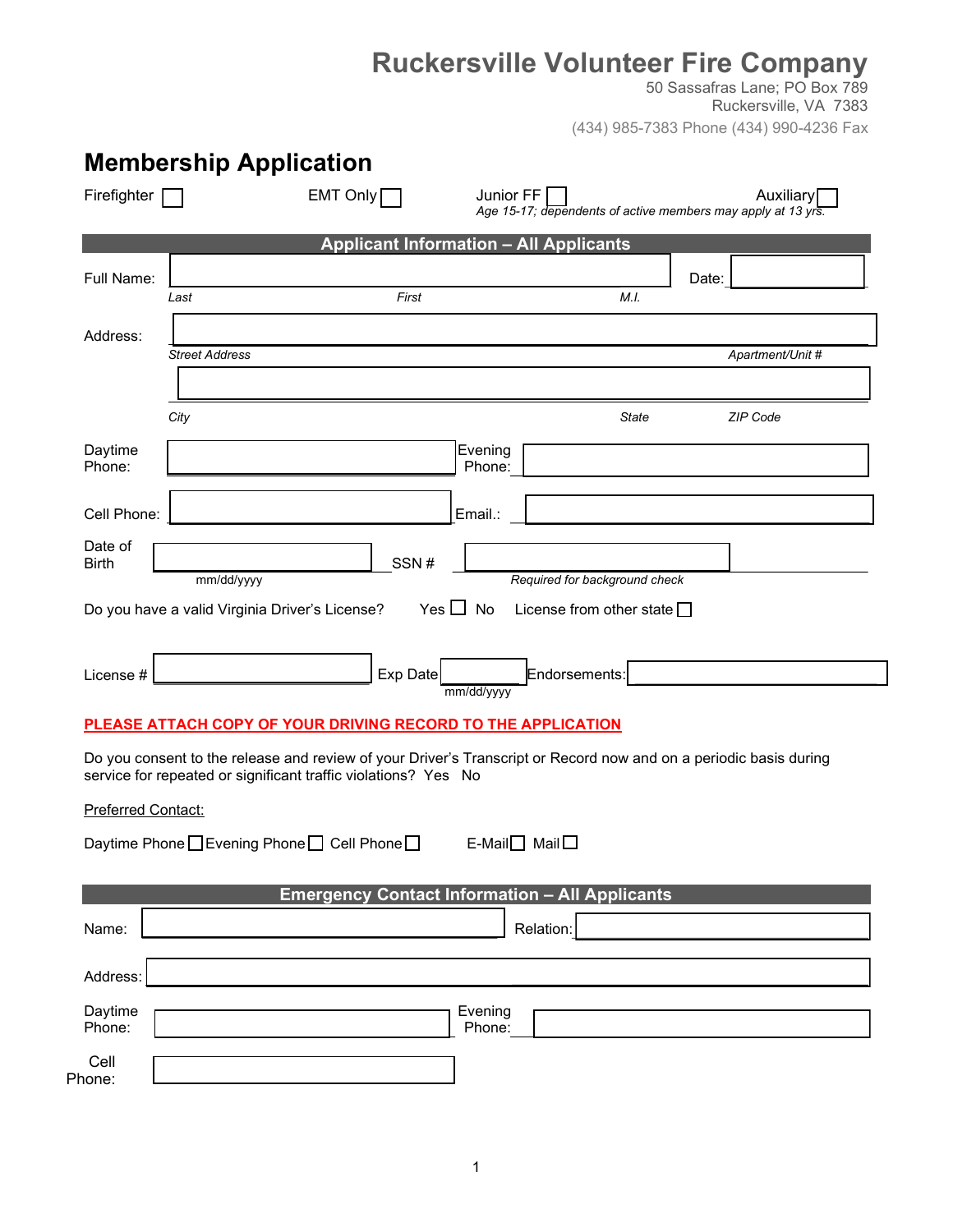Ruckersville Volunteer Fire Company

50 Sassafras Lane; PO Box 789

Ruckersville, VA 7383

(434) 985-7383 Phone (434) 990-4236 Fax

| Firefighter                                                  | EMT Only                                                                                                                                                                            | Junior FF<br>Age 15-17; dependents of active members may apply at 13 yrs. | Auxiliary        |
|--------------------------------------------------------------|-------------------------------------------------------------------------------------------------------------------------------------------------------------------------------------|---------------------------------------------------------------------------|------------------|
|                                                              |                                                                                                                                                                                     | <b>Applicant Information - All Applicants</b>                             |                  |
| Full Name:                                                   | First                                                                                                                                                                               | M.I.                                                                      | Date:            |
| Last                                                         |                                                                                                                                                                                     |                                                                           |                  |
| Address:<br><b>Street Address</b>                            |                                                                                                                                                                                     |                                                                           | Apartment/Unit # |
| City                                                         |                                                                                                                                                                                     | <b>State</b>                                                              | ZIP Code         |
| Daytime<br>Phone:                                            |                                                                                                                                                                                     | Evening<br>Phone:                                                         |                  |
| Cell Phone:                                                  |                                                                                                                                                                                     | Email.:                                                                   |                  |
| Date of<br><b>Birth</b>                                      | SSN#                                                                                                                                                                                |                                                                           |                  |
| mm/dd/yyyy<br>Do you have a valid Virginia Driver's License? | Yes $\Box$ No                                                                                                                                                                       | Required for background check<br>License from other state $\square$       |                  |
| License #                                                    | Exp Date                                                                                                                                                                            | Endorsements:<br>mm/dd/yyyy                                               |                  |
|                                                              | PLEASE ATTACH COPY OF YOUR DRIVING RECORD TO THE APPLICATION                                                                                                                        |                                                                           |                  |
|                                                              | Do you consent to the release and review of your Driver's Transcript or Record now and on a periodic basis during<br>service for repeated or significant traffic violations? Yes No |                                                                           |                  |
| Preferred Contact:                                           |                                                                                                                                                                                     |                                                                           |                  |
|                                                              | Daytime Phone <u>Evening</u> Phone D Cell Phone D                                                                                                                                   | E-Mail <sup>1</sup> Mail <sup>1</sup>                                     |                  |
|                                                              |                                                                                                                                                                                     | <b>Emergency Contact Information - All Applicants</b>                     |                  |
| Name:                                                        |                                                                                                                                                                                     | Relation:                                                                 |                  |
| Address:                                                     |                                                                                                                                                                                     |                                                                           |                  |
| Daytime<br>Phone:                                            |                                                                                                                                                                                     | Evening<br>Phone:                                                         |                  |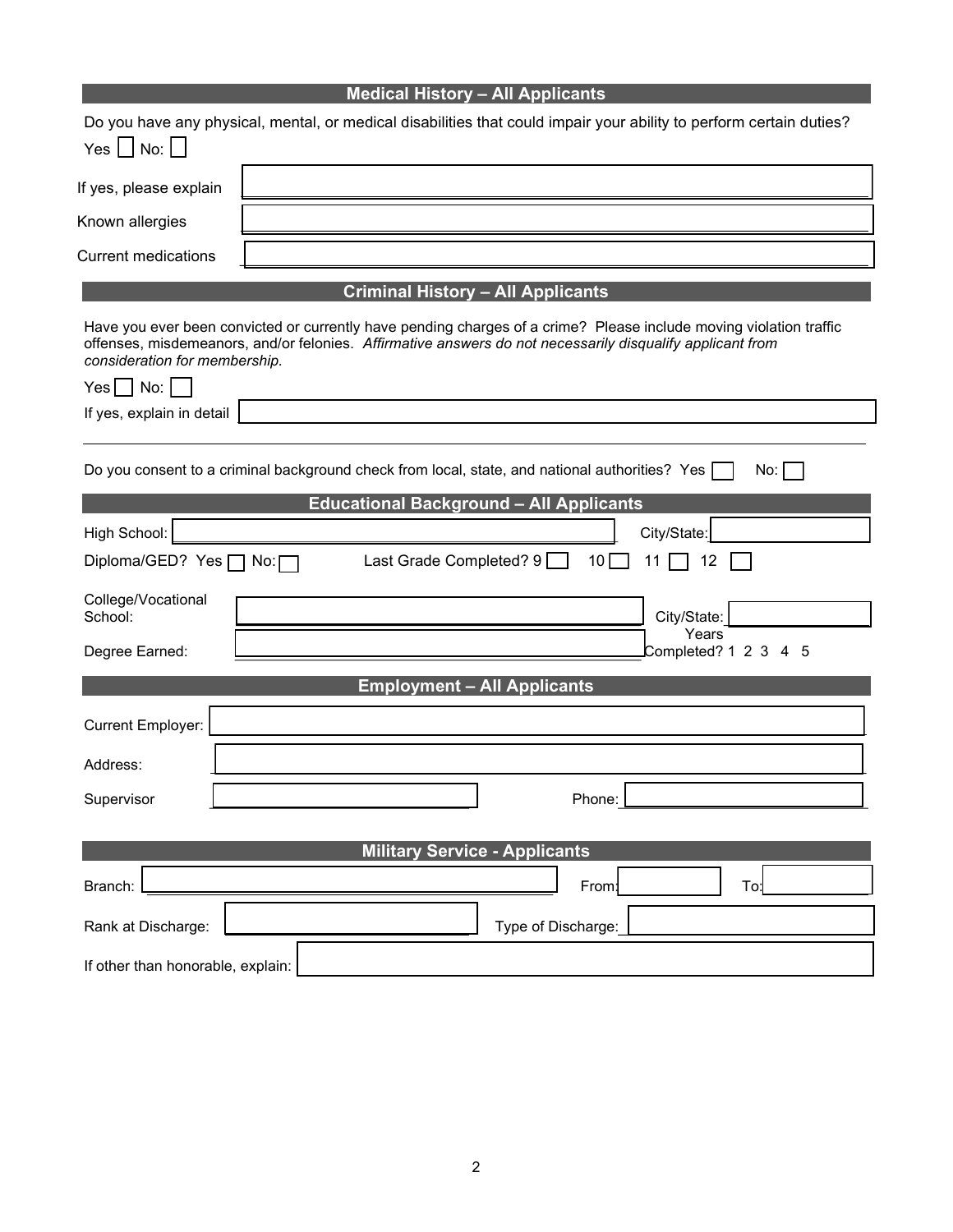|                                                             | <b>Medical History - All Applicants</b>                                                                                                                                                                                         |
|-------------------------------------------------------------|---------------------------------------------------------------------------------------------------------------------------------------------------------------------------------------------------------------------------------|
| $Yes \bigsqcup No: \bigsqcup$                               | Do you have any physical, mental, or medical disabilities that could impair your ability to perform certain duties?                                                                                                             |
| If yes, please explain                                      |                                                                                                                                                                                                                                 |
| Known allergies                                             |                                                                                                                                                                                                                                 |
| <b>Current medications</b>                                  |                                                                                                                                                                                                                                 |
|                                                             | <b>Criminal History - All Applicants</b>                                                                                                                                                                                        |
| consideration for membership.<br>$Yes \nightharpoonup No$ : | Have you ever been convicted or currently have pending charges of a crime? Please include moving violation traffic<br>offenses, misdemeanors, and/or felonies. Affirmative answers do not necessarily disqualify applicant from |
| If yes, explain in detail                                   |                                                                                                                                                                                                                                 |
|                                                             | Do you consent to a criminal background check from local, state, and national authorities? Yes $\Box$<br>No:                                                                                                                    |
|                                                             | <b>Educational Background - All Applicants</b>                                                                                                                                                                                  |
| High School:                                                | City/State:                                                                                                                                                                                                                     |
| Diploma/GED? Yes   No:                                      | 10<br>Last Grade Completed? 9<br>11<br>12                                                                                                                                                                                       |
| College/Vocational<br>School:                               | City/State:                                                                                                                                                                                                                     |
| Degree Earned:                                              | Years<br>Completed? 1 2 3 4 5                                                                                                                                                                                                   |
|                                                             | <b>Employment - All Applicants</b>                                                                                                                                                                                              |
| Current Employer:                                           |                                                                                                                                                                                                                                 |
| Address:                                                    |                                                                                                                                                                                                                                 |
| Supervisor                                                  | Phone:                                                                                                                                                                                                                          |
|                                                             |                                                                                                                                                                                                                                 |
|                                                             | <b>Military Service - Applicants</b>                                                                                                                                                                                            |
| Branch:                                                     | From:<br>To:                                                                                                                                                                                                                    |
| Rank at Discharge:                                          | Type of Discharge:                                                                                                                                                                                                              |
| If other than honorable, explain:                           |                                                                                                                                                                                                                                 |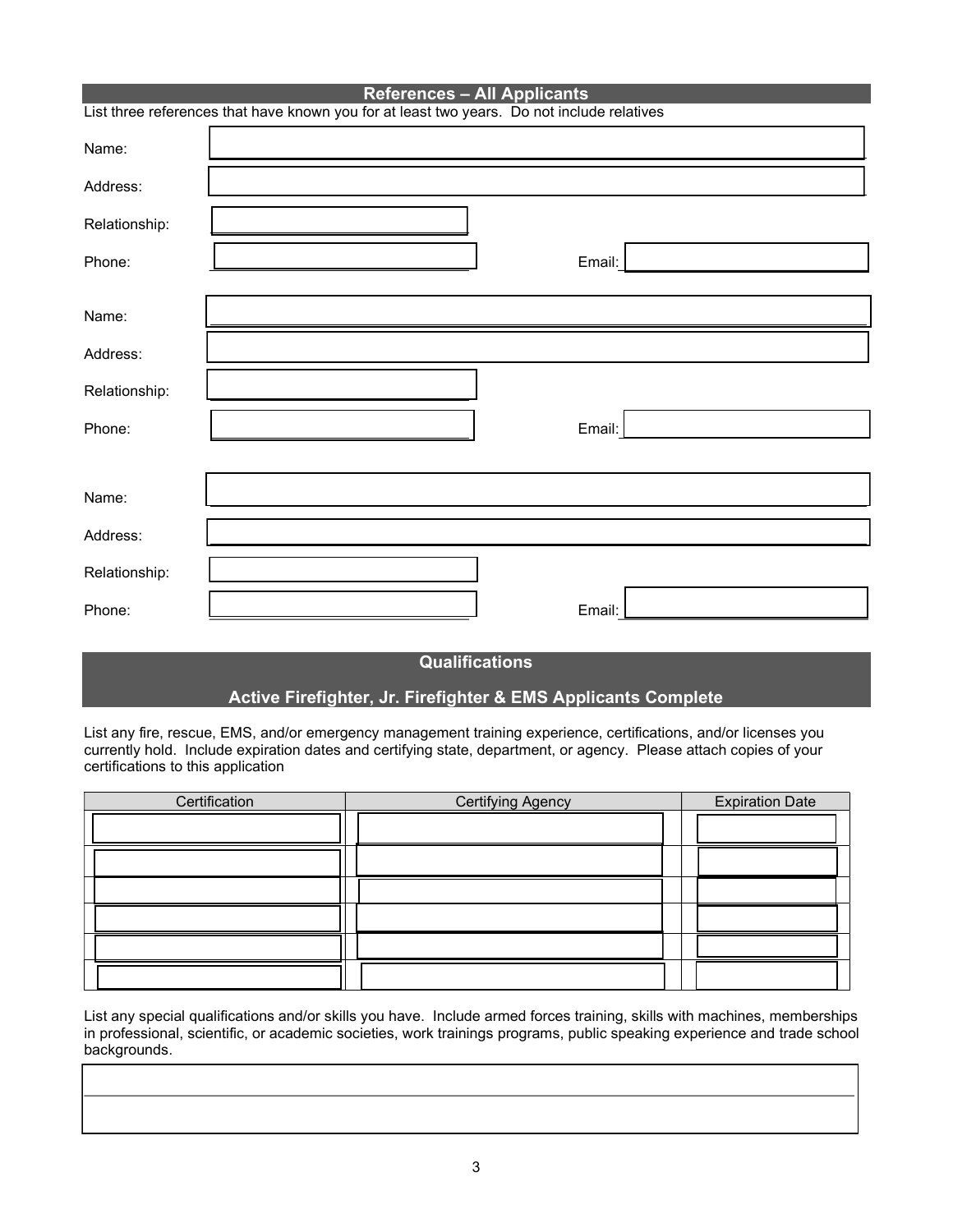| <b>References - All Applicants</b> |                                                                                            |  |
|------------------------------------|--------------------------------------------------------------------------------------------|--|
|                                    | List three references that have known you for at least two years. Do not include relatives |  |
| Name:                              |                                                                                            |  |
| Address:                           |                                                                                            |  |
| Relationship:                      |                                                                                            |  |
| Phone:                             | Email:                                                                                     |  |
|                                    |                                                                                            |  |
| Name:                              |                                                                                            |  |
| Address:                           |                                                                                            |  |
| Relationship:                      |                                                                                            |  |
| Phone:                             | Email:                                                                                     |  |
|                                    |                                                                                            |  |
| Name:                              |                                                                                            |  |
| Address:                           |                                                                                            |  |
| Relationship:                      |                                                                                            |  |
| Phone:                             | Email:                                                                                     |  |
|                                    |                                                                                            |  |

## **Qualifications**

# Active Firefighter, Jr. Firefighter & EMS Applicants Complete

List any fire, rescue, EMS, and/or emergency management training experience, certifications, and/or licenses you currently hold. Include expiration dates and certifying state, department, or agency. Please attach copies of your certifications to this application

| Certification | <b>Certifying Agency</b> | <b>Expiration Date</b> |
|---------------|--------------------------|------------------------|
|               |                          |                        |
|               |                          |                        |
|               |                          |                        |
|               |                          |                        |
|               |                          |                        |
|               |                          |                        |

List any special qualifications and/or skills you have. Include armed forces training, skills with machines, memberships in professional, scientific, or academic societies, work trainings programs, public speaking experience and trade school backgrounds.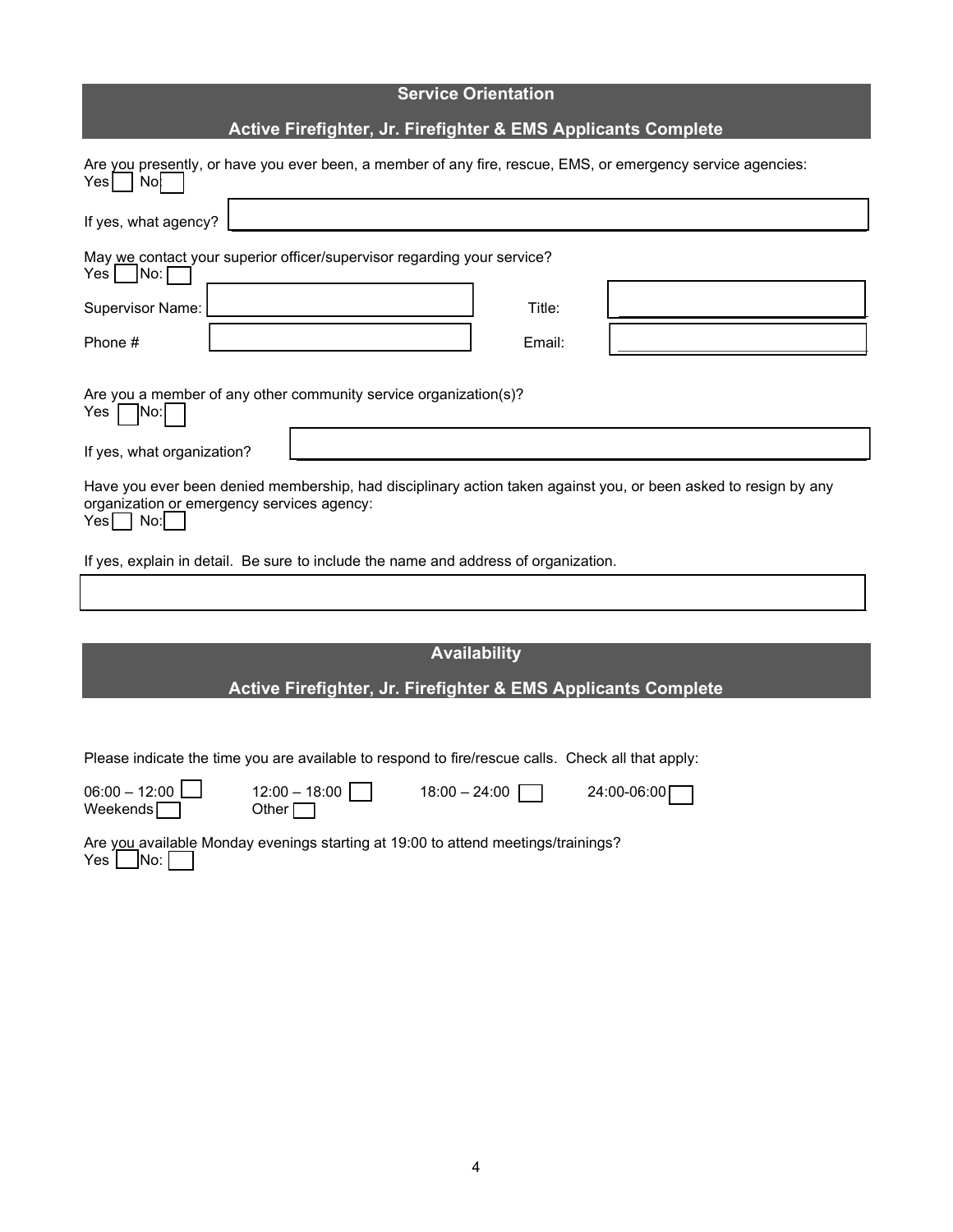| <b>Service Orientation</b>                                                                                                                                                                                                                                                                                                                                                             |  |  |
|----------------------------------------------------------------------------------------------------------------------------------------------------------------------------------------------------------------------------------------------------------------------------------------------------------------------------------------------------------------------------------------|--|--|
| Active Firefighter, Jr. Firefighter & EMS Applicants Complete                                                                                                                                                                                                                                                                                                                          |  |  |
| Are you presently, or have you ever been, a member of any fire, rescue, EMS, or emergency service agencies:<br>Yes<br>Nol                                                                                                                                                                                                                                                              |  |  |
| If yes, what agency?                                                                                                                                                                                                                                                                                                                                                                   |  |  |
| May we contact your superior officer/supervisor regarding your service?<br>No:<br>Yes                                                                                                                                                                                                                                                                                                  |  |  |
| Supervisor Name:<br>Title:                                                                                                                                                                                                                                                                                                                                                             |  |  |
| Phone #<br>Email:                                                                                                                                                                                                                                                                                                                                                                      |  |  |
| Are you a member of any other community service organization(s)?<br>Yes<br>No:<br>If yes, what organization?<br>Have you ever been denied membership, had disciplinary action taken against you, or been asked to resign by any<br>organization or emergency services agency:<br>$Yes \Box No:$<br>If yes, explain in detail. Be sure to include the name and address of organization. |  |  |
|                                                                                                                                                                                                                                                                                                                                                                                        |  |  |
| <b>Availability</b>                                                                                                                                                                                                                                                                                                                                                                    |  |  |
| Active Firefighter, Jr. Firefighter & EMS Applicants Complete                                                                                                                                                                                                                                                                                                                          |  |  |
|                                                                                                                                                                                                                                                                                                                                                                                        |  |  |
| Please indicate the time you are available to respond to fire/rescue calls. Check all that apply:                                                                                                                                                                                                                                                                                      |  |  |
| $06:00 - 12:00$<br>$12:00 - 18:00$<br>$18:00 - 24:00$<br>24:00-06:00<br>Weekends<br>Other [                                                                                                                                                                                                                                                                                            |  |  |
| Are you available Monday evenings starting at 19:00 to attend meetings/trainings?                                                                                                                                                                                                                                                                                                      |  |  |

Yes | No: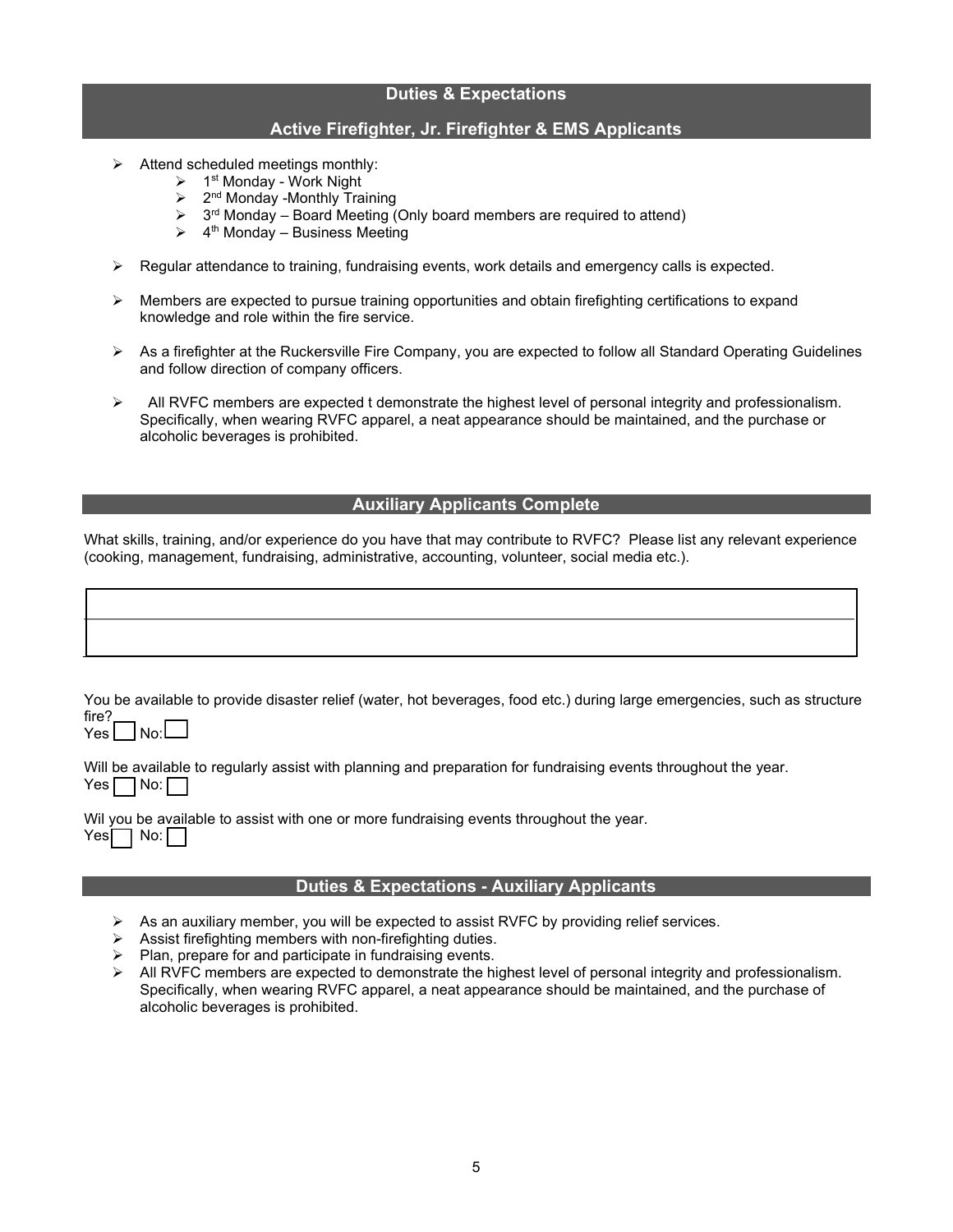## Duties & Expectations

#### Active Firefighter, Jr. Firefighter & EMS Applicants

- $\triangleright$  Attend scheduled meetings monthly:
	- $\triangleright$  1<sup>st</sup> Monday Work Night
	- $\geq 2^{nd}$  Monday -Monthly Training
	- $\geq 3^{rd}$  Monday Board Meeting (Only board members are required to attend)
	- $\triangleright$  4<sup>th</sup> Monday Business Meeting
- $\triangleright$  Regular attendance to training, fundraising events, work details and emergency calls is expected.
- $\triangleright$  Members are expected to pursue training opportunities and obtain firefighting certifications to expand knowledge and role within the fire service.
- As a firefighter at the Ruckersville Fire Company, you are expected to follow all Standard Operating Guidelines and follow direction of company officers.
- $\triangleright$  All RVFC members are expected t demonstrate the highest level of personal integrity and professionalism. Specifically, when wearing RVFC apparel, a neat appearance should be maintained, and the purchase or alcoholic beverages is prohibited.

## Auxiliary Applicants Complete

What skills, training, and/or experience do you have that may contribute to RVFC? Please list any relevant experience (cooking, management, fundraising, administrative, accounting, volunteer, social media etc.).

You be available to provide disaster relief (water, hot beverages, food etc.) during large emergencies, such as structure fire?  $Yes \bigsqcup No:$ 

Will be available to regularly assist with planning and preparation for fundraising events throughout the year.  $Yes \nightharpoonup No:$ 

Wil you be available to assist with one or more fundraising events throughout the year.  $Yes \nightharpoonup No:$ 

#### Duties & Expectations - Auxiliary Applicants

- As an auxiliary member, you will be expected to assist RVFC by providing relief services.
- $\triangleright$  Assist firefighting members with non-firefighting duties.
- $\triangleright$  Plan, prepare for and participate in fundraising events.
- All RVFC members are expected to demonstrate the highest level of personal integrity and professionalism. Specifically, when wearing RVFC apparel, a neat appearance should be maintained, and the purchase of alcoholic beverages is prohibited.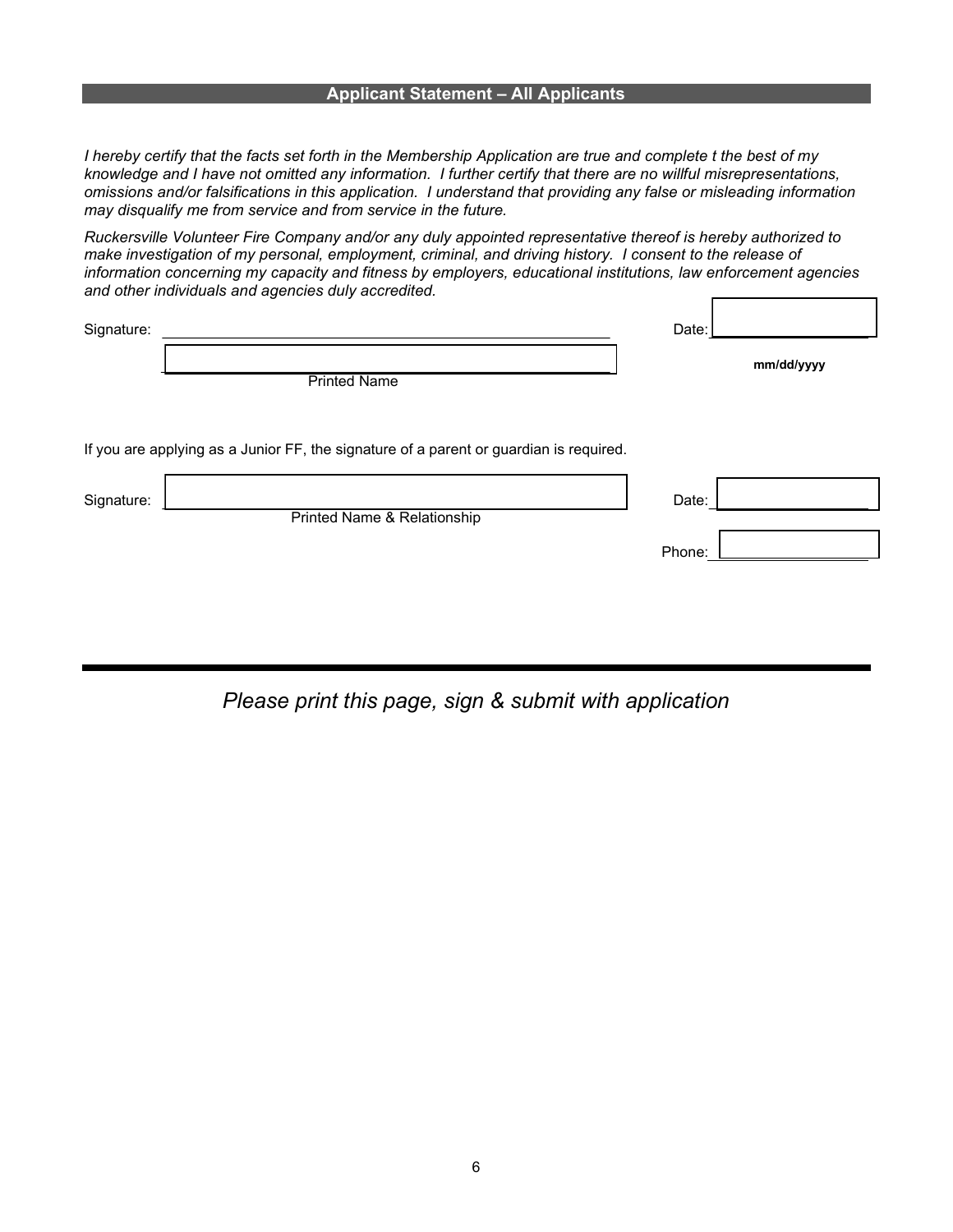## Applicant Statement – All Applicants

I hereby certify that the facts set forth in the Membership Application are true and complete t the best of my knowledge and I have not omitted any information. I further certify that there are no willful misrepresentations, omissions and/or falsifications in this application. I understand that providing any false or misleading information may disqualify me from service and from service in the future.

Ruckersville Volunteer Fire Company and/or any duly appointed representative thereof is hereby authorized to make investigation of my personal, employment, criminal, and driving history. I consent to the release of information concerning my capacity and fitness by employers, educational institutions, law enforcement agencies and other individuals and agencies duly accredited.

| Signature: |                                                                                        | Date:  |            |
|------------|----------------------------------------------------------------------------------------|--------|------------|
|            | <b>Printed Name</b>                                                                    |        | mm/dd/yyyy |
|            | If you are applying as a Junior FF, the signature of a parent or guardian is required. |        |            |
| Signature: | Printed Name & Relationship                                                            | Date:  |            |
|            |                                                                                        | Phone: |            |

Please print this page, sign & submit with application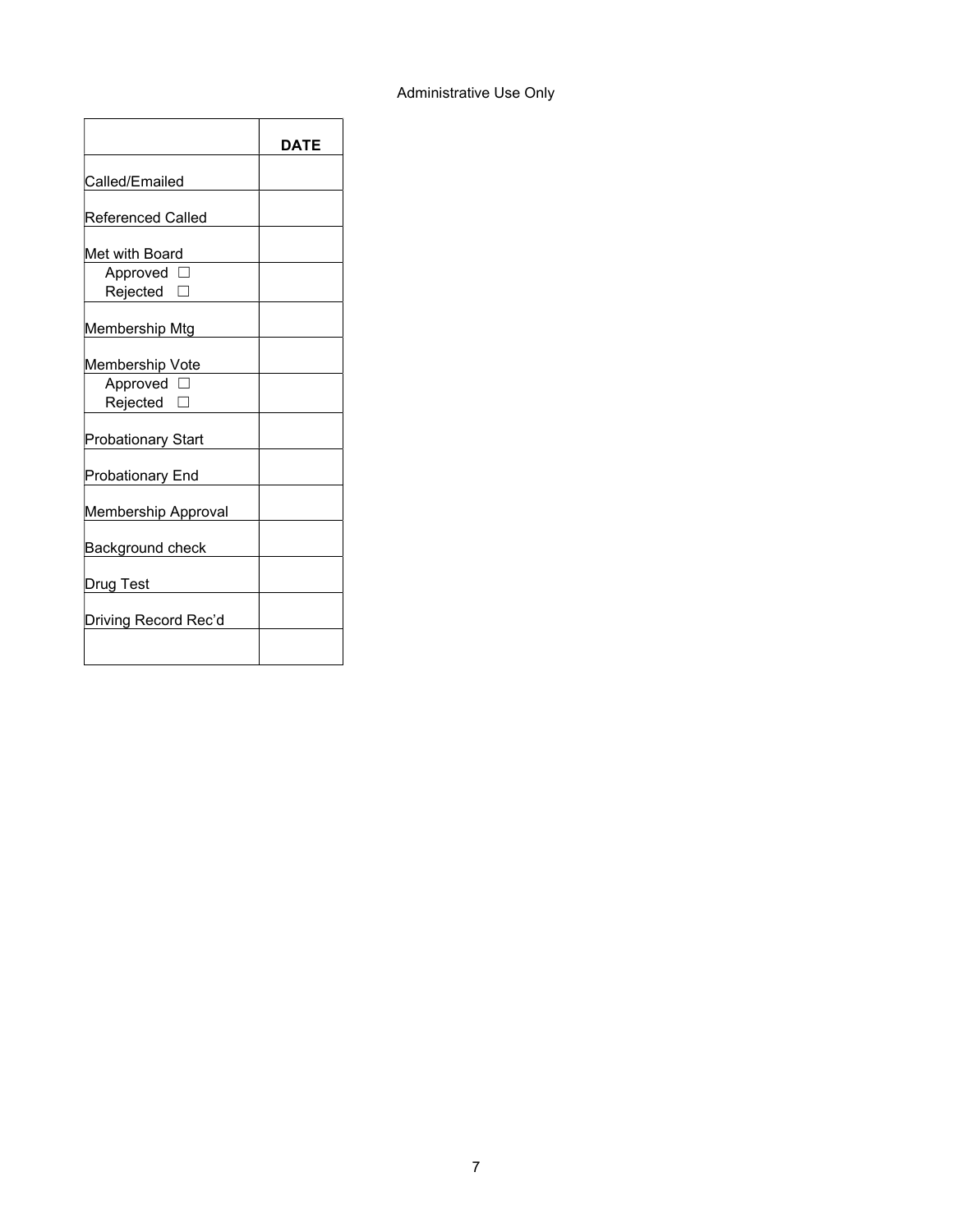## Administrative Use Only

|                           | DATE |
|---------------------------|------|
| Called/Emailed            |      |
| Referenced Called         |      |
| Met with Board            |      |
| Approved                  |      |
| Rejected                  |      |
| Membership Mtg            |      |
| Membership Vote           |      |
| Approved                  |      |
| Rejected                  |      |
| <b>Probationary Start</b> |      |
| Probationary End          |      |
| Membership Approval       |      |
| Background check          |      |
| Drug Test                 |      |
| Driving Record Rec'd      |      |
|                           |      |